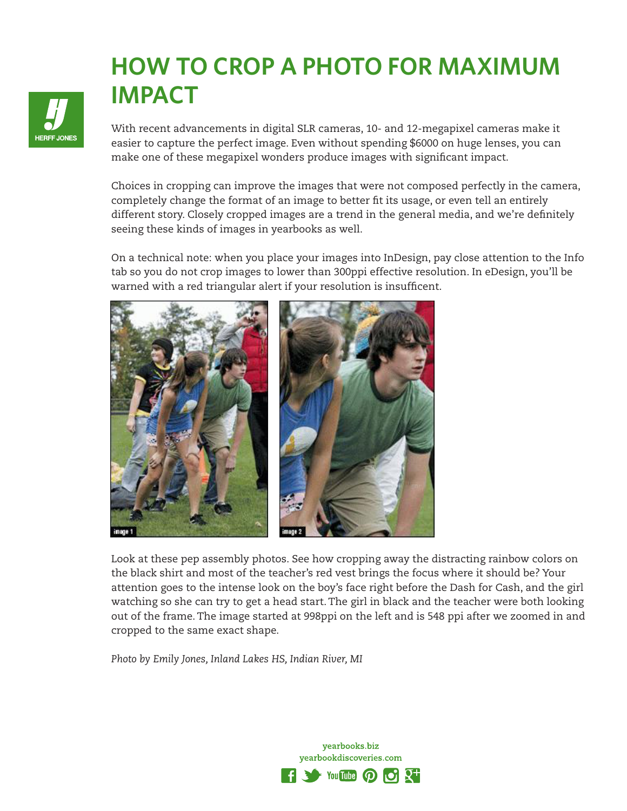## **HOW TO CROP A PHOTO FOR MAXIMUM IMPACT**



With recent advancements in digital SLR cameras, 10- and 12-megapixel cameras make it easier to capture the perfect image. Even without spending \$6000 on huge lenses, you can make one of these megapixel wonders produce images with significant impact.

Choices in cropping can improve the images that were not composed perfectly in the camera, completely change the format of an image to better fit its usage, or even tell an entirely different story. Closely cropped images are a trend in the general media, and we're definitely seeing these kinds of images in yearbooks as well.

On a technical note: when you place your images into InDesign, pay close attention to the Info tab so you do not crop images to lower than 300ppi effective resolution. In eDesign, you'll be warned with a red triangular alert if your resolution is insufficent.



Look at these pep assembly photos. See how cropping away the distracting rainbow colors on the black shirt and most of the teacher's red vest brings the focus where it should be? Your attention goes to the intense look on the boy's face right before the Dash for Cash, and the girl watching so she can try to get a head start. The girl in black and the teacher were both looking out of the frame. The image started at 998ppi on the left and is 548 ppi after we zoomed in and cropped to the same exact shape.

*Photo by Emily Jones, Inland Lakes HS, Indian River, MI*